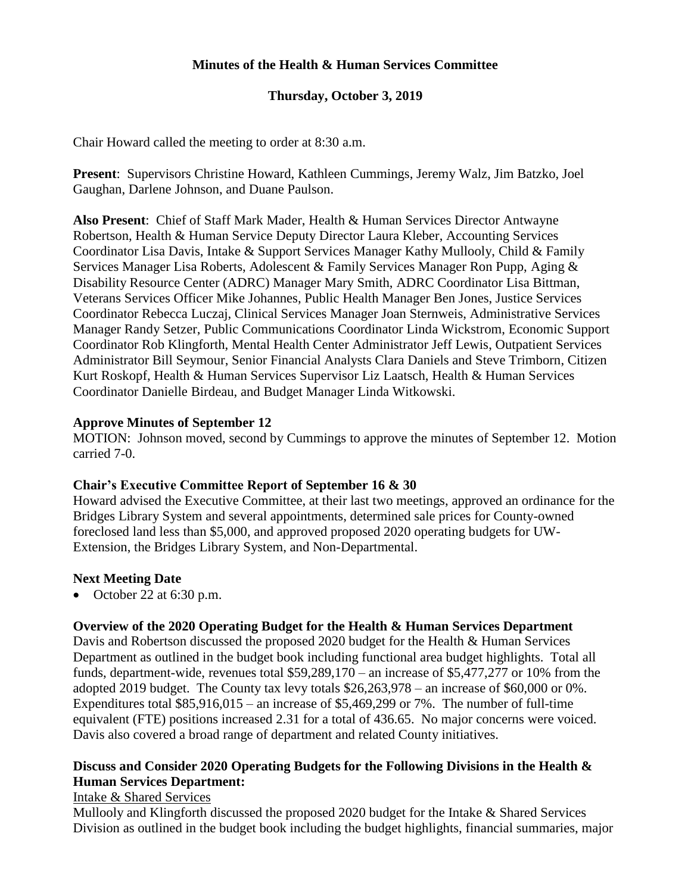# **Minutes of the Health & Human Services Committee**

# **Thursday, October 3, 2019**

Chair Howard called the meeting to order at 8:30 a.m.

**Present**: Supervisors Christine Howard, Kathleen Cummings, Jeremy Walz, Jim Batzko, Joel Gaughan, Darlene Johnson, and Duane Paulson.

**Also Present**: Chief of Staff Mark Mader, Health & Human Services Director Antwayne Robertson, Health & Human Service Deputy Director Laura Kleber, Accounting Services Coordinator Lisa Davis, Intake & Support Services Manager Kathy Mullooly, Child & Family Services Manager Lisa Roberts, Adolescent & Family Services Manager Ron Pupp, Aging & Disability Resource Center (ADRC) Manager Mary Smith, ADRC Coordinator Lisa Bittman, Veterans Services Officer Mike Johannes, Public Health Manager Ben Jones, Justice Services Coordinator Rebecca Luczaj, Clinical Services Manager Joan Sternweis, Administrative Services Manager Randy Setzer, Public Communications Coordinator Linda Wickstrom, Economic Support Coordinator Rob Klingforth, Mental Health Center Administrator Jeff Lewis, Outpatient Services Administrator Bill Seymour, Senior Financial Analysts Clara Daniels and Steve Trimborn, Citizen Kurt Roskopf, Health & Human Services Supervisor Liz Laatsch, Health & Human Services Coordinator Danielle Birdeau, and Budget Manager Linda Witkowski.

### **Approve Minutes of September 12**

MOTION: Johnson moved, second by Cummings to approve the minutes of September 12. Motion carried 7-0.

### **Chair's Executive Committee Report of September 16 & 30**

Howard advised the Executive Committee, at their last two meetings, approved an ordinance for the Bridges Library System and several appointments, determined sale prices for County-owned foreclosed land less than \$5,000, and approved proposed 2020 operating budgets for UW-Extension, the Bridges Library System, and Non-Departmental.

### **Next Meeting Date**

• October 22 at  $6:30$  p.m.

# **Overview of the 2020 Operating Budget for the Health & Human Services Department**

Davis and Robertson discussed the proposed 2020 budget for the Health & Human Services Department as outlined in the budget book including functional area budget highlights. Total all funds, department-wide, revenues total \$59,289,170 – an increase of \$5,477,277 or 10% from the adopted 2019 budget. The County tax levy totals \$26,263,978 – an increase of \$60,000 or 0%. Expenditures total  $$85,916,015 -$  an increase of  $$5,469,299$  or 7%. The number of full-time equivalent (FTE) positions increased 2.31 for a total of 436.65. No major concerns were voiced. Davis also covered a broad range of department and related County initiatives.

# **Discuss and Consider 2020 Operating Budgets for the Following Divisions in the Health & Human Services Department:**

### Intake & Shared Services

Mullooly and Klingforth discussed the proposed 2020 budget for the Intake & Shared Services Division as outlined in the budget book including the budget highlights, financial summaries, major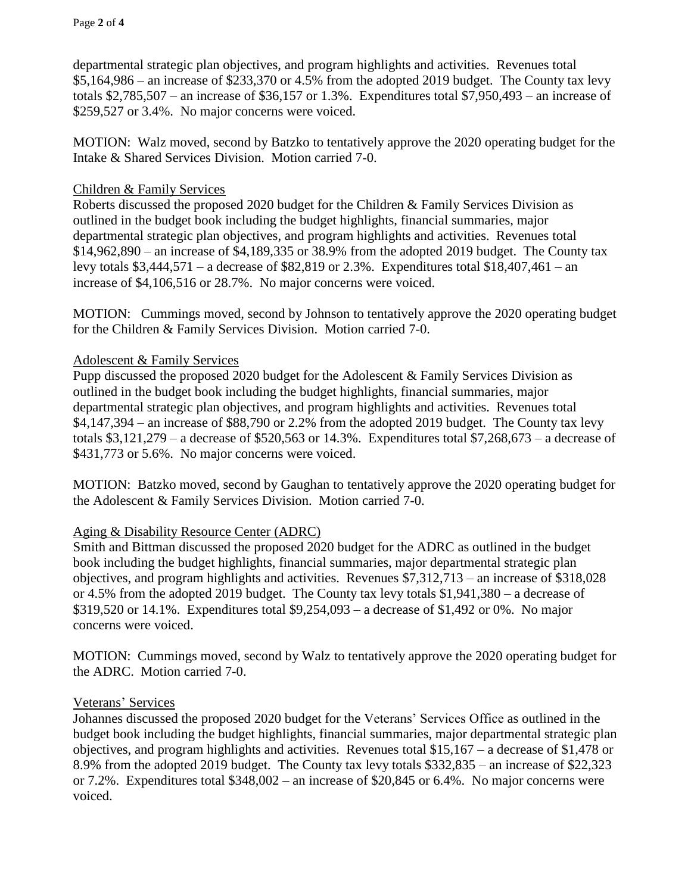Page **2** of **4**

departmental strategic plan objectives, and program highlights and activities. Revenues total \$5,164,986 – an increase of \$233,370 or 4.5% from the adopted 2019 budget. The County tax levy totals  $$2,785,507$  – an increase of  $$36,157$  or 1.3%. Expenditures total  $$7,950,493$  – an increase of \$259,527 or 3.4%. No major concerns were voiced.

MOTION: Walz moved, second by Batzko to tentatively approve the 2020 operating budget for the Intake & Shared Services Division. Motion carried 7-0.

# Children & Family Services

Roberts discussed the proposed 2020 budget for the Children & Family Services Division as outlined in the budget book including the budget highlights, financial summaries, major departmental strategic plan objectives, and program highlights and activities. Revenues total \$14,962,890 – an increase of \$4,189,335 or 38.9% from the adopted 2019 budget. The County tax levy totals \$3,444,571 – a decrease of \$82,819 or 2.3%. Expenditures total \$18,407,461 – an increase of \$4,106,516 or 28.7%. No major concerns were voiced.

MOTION: Cummings moved, second by Johnson to tentatively approve the 2020 operating budget for the Children & Family Services Division. Motion carried 7-0.

### Adolescent & Family Services

Pupp discussed the proposed 2020 budget for the Adolescent & Family Services Division as outlined in the budget book including the budget highlights, financial summaries, major departmental strategic plan objectives, and program highlights and activities. Revenues total \$4,147,394 – an increase of \$88,790 or 2.2% from the adopted 2019 budget. The County tax levy totals  $$3,121,279 - a$  decrease of  $$520,563$  or 14.3%. Expenditures total  $$7,268,673 - a$  decrease of \$431,773 or 5.6%. No major concerns were voiced.

MOTION: Batzko moved, second by Gaughan to tentatively approve the 2020 operating budget for the Adolescent & Family Services Division. Motion carried 7-0.

### Aging & Disability Resource Center (ADRC)

Smith and Bittman discussed the proposed 2020 budget for the ADRC as outlined in the budget book including the budget highlights, financial summaries, major departmental strategic plan objectives, and program highlights and activities. Revenues \$7,312,713 – an increase of \$318,028 or 4.5% from the adopted 2019 budget. The County tax levy totals \$1,941,380 – a decrease of \$319,520 or 14.1%. Expenditures total \$9,254,093 – a decrease of \$1,492 or 0%. No major concerns were voiced.

MOTION: Cummings moved, second by Walz to tentatively approve the 2020 operating budget for the ADRC. Motion carried 7-0.

### Veterans' Services

Johannes discussed the proposed 2020 budget for the Veterans' Services Office as outlined in the budget book including the budget highlights, financial summaries, major departmental strategic plan objectives, and program highlights and activities. Revenues total \$15,167 – a decrease of \$1,478 or 8.9% from the adopted 2019 budget. The County tax levy totals \$332,835 – an increase of \$22,323 or 7.2%. Expenditures total \$348,002 – an increase of \$20,845 or 6.4%. No major concerns were voiced.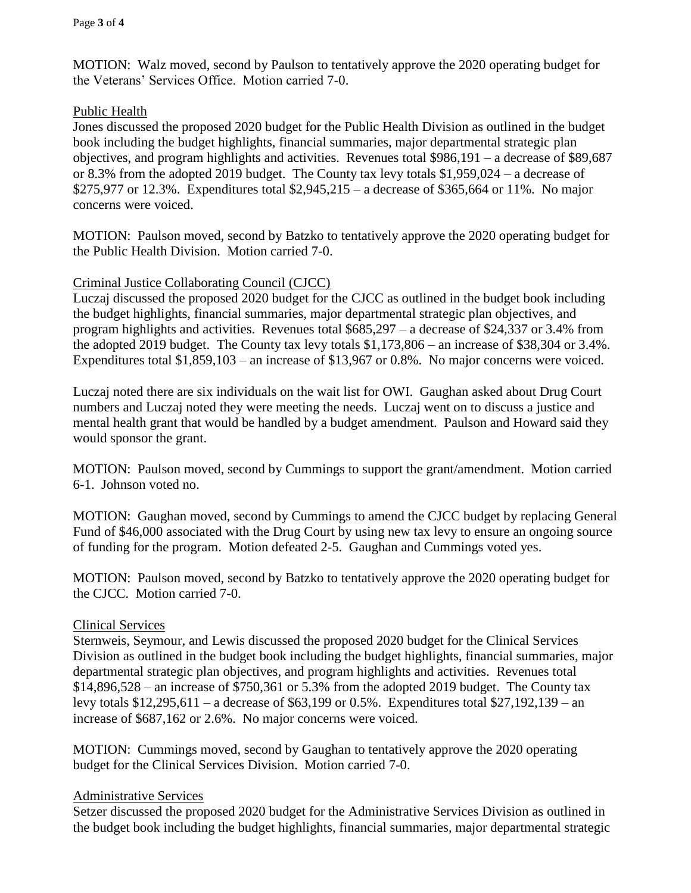MOTION: Walz moved, second by Paulson to tentatively approve the 2020 operating budget for the Veterans' Services Office. Motion carried 7-0.

# Public Health

Jones discussed the proposed 2020 budget for the Public Health Division as outlined in the budget book including the budget highlights, financial summaries, major departmental strategic plan objectives, and program highlights and activities. Revenues total \$986,191 – a decrease of \$89,687 or 8.3% from the adopted 2019 budget. The County tax levy totals \$1,959,024 – a decrease of \$275,977 or 12.3%. Expenditures total \$2,945,215 – a decrease of \$365,664 or 11%. No major concerns were voiced.

MOTION: Paulson moved, second by Batzko to tentatively approve the 2020 operating budget for the Public Health Division. Motion carried 7-0.

### Criminal Justice Collaborating Council (CJCC)

Luczaj discussed the proposed 2020 budget for the CJCC as outlined in the budget book including the budget highlights, financial summaries, major departmental strategic plan objectives, and program highlights and activities. Revenues total \$685,297 – a decrease of \$24,337 or 3.4% from the adopted 2019 budget. The County tax levy totals \$1,173,806 – an increase of \$38,304 or 3.4%. Expenditures total \$1,859,103 – an increase of \$13,967 or 0.8%. No major concerns were voiced.

Luczaj noted there are six individuals on the wait list for OWI. Gaughan asked about Drug Court numbers and Luczaj noted they were meeting the needs. Luczaj went on to discuss a justice and mental health grant that would be handled by a budget amendment. Paulson and Howard said they would sponsor the grant.

MOTION: Paulson moved, second by Cummings to support the grant/amendment. Motion carried 6-1. Johnson voted no.

MOTION: Gaughan moved, second by Cummings to amend the CJCC budget by replacing General Fund of \$46,000 associated with the Drug Court by using new tax levy to ensure an ongoing source of funding for the program. Motion defeated 2-5. Gaughan and Cummings voted yes.

MOTION: Paulson moved, second by Batzko to tentatively approve the 2020 operating budget for the CJCC. Motion carried 7-0.

# Clinical Services

Sternweis, Seymour, and Lewis discussed the proposed 2020 budget for the Clinical Services Division as outlined in the budget book including the budget highlights, financial summaries, major departmental strategic plan objectives, and program highlights and activities. Revenues total \$14,896,528 – an increase of \$750,361 or 5.3% from the adopted 2019 budget. The County tax levy totals \$12,295,611 – a decrease of \$63,199 or 0.5%. Expenditures total \$27,192,139 – an increase of \$687,162 or 2.6%. No major concerns were voiced.

MOTION: Cummings moved, second by Gaughan to tentatively approve the 2020 operating budget for the Clinical Services Division. Motion carried 7-0.

### Administrative Services

Setzer discussed the proposed 2020 budget for the Administrative Services Division as outlined in the budget book including the budget highlights, financial summaries, major departmental strategic